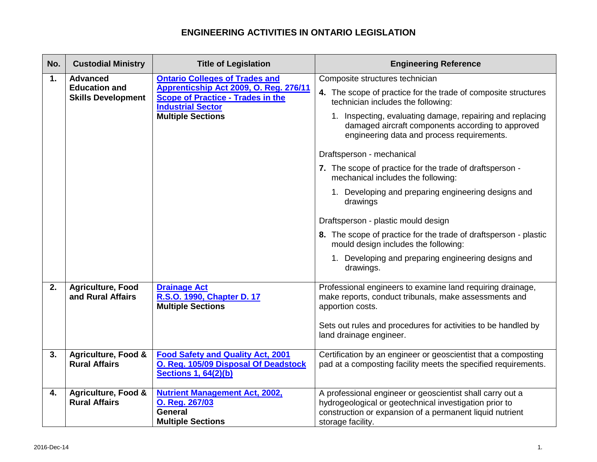| No.      | <b>Custodial Ministry</b>                                                                               | <b>Title of Legislation</b>                                                                                                                                                                      | <b>Engineering Reference</b>                                                                                                                                                                                                                                                                                                                                                                                                                                                                                                                                                                                                                                                                                                     |
|----------|---------------------------------------------------------------------------------------------------------|--------------------------------------------------------------------------------------------------------------------------------------------------------------------------------------------------|----------------------------------------------------------------------------------------------------------------------------------------------------------------------------------------------------------------------------------------------------------------------------------------------------------------------------------------------------------------------------------------------------------------------------------------------------------------------------------------------------------------------------------------------------------------------------------------------------------------------------------------------------------------------------------------------------------------------------------|
| 1.       | <b>Advanced</b><br><b>Education and</b><br><b>Skills Development</b>                                    | <b>Ontario Colleges of Trades and</b><br>Apprenticship Act 2009, O. Reg. 276/11<br><b>Scope of Practice - Trades in the</b><br><b>Industrial Sector</b><br><b>Multiple Sections</b>              | Composite structures technician<br>4. The scope of practice for the trade of composite structures<br>technician includes the following:<br>1. Inspecting, evaluating damage, repairing and replacing<br>damaged aircraft components according to approved<br>engineering data and process requirements.<br>Draftsperson - mechanical<br>7. The scope of practice for the trade of draftsperson -<br>mechanical includes the following:<br>1. Developing and preparing engineering designs and<br>drawings<br>Draftsperson - plastic mould design<br>8. The scope of practice for the trade of draftsperson - plastic<br>mould design includes the following:<br>1. Developing and preparing engineering designs and<br>drawings. |
| 2.<br>3. | <b>Agriculture, Food</b><br>and Rural Affairs<br><b>Agriculture, Food &amp;</b><br><b>Rural Affairs</b> | <b>Drainage Act</b><br>R.S.O. 1990, Chapter D. 17<br><b>Multiple Sections</b><br><b>Food Safety and Quality Act, 2001</b><br>O. Reg. 105/09 Disposal Of Deadstock<br><b>Sections 1, 64(2)(b)</b> | Professional engineers to examine land requiring drainage,<br>make reports, conduct tribunals, make assessments and<br>apportion costs.<br>Sets out rules and procedures for activities to be handled by<br>land drainage engineer.<br>Certification by an engineer or geoscientist that a composting<br>pad at a composting facility meets the specified requirements.                                                                                                                                                                                                                                                                                                                                                          |
| 4.       | <b>Agriculture, Food &amp;</b><br><b>Rural Affairs</b>                                                  | <b>Nutrient Management Act, 2002,</b><br>O. Reg. 267/03<br><b>General</b><br><b>Multiple Sections</b>                                                                                            | A professional engineer or geoscientist shall carry out a<br>hydrogeological or geotechnical investigation prior to<br>construction or expansion of a permanent liquid nutrient<br>storage facility.                                                                                                                                                                                                                                                                                                                                                                                                                                                                                                                             |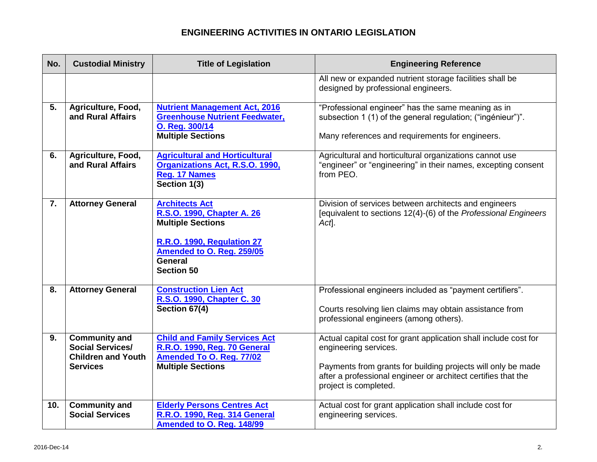| No.            | <b>Custodial Ministry</b>                                                                       | <b>Title of Legislation</b>                                                                                                                                                | <b>Engineering Reference</b>                                                                                                                                                                                                                        |
|----------------|-------------------------------------------------------------------------------------------------|----------------------------------------------------------------------------------------------------------------------------------------------------------------------------|-----------------------------------------------------------------------------------------------------------------------------------------------------------------------------------------------------------------------------------------------------|
|                |                                                                                                 |                                                                                                                                                                            | All new or expanded nutrient storage facilities shall be<br>designed by professional engineers.                                                                                                                                                     |
| 5 <sub>1</sub> | Agriculture, Food,<br>and Rural Affairs                                                         | <b>Nutrient Management Act, 2016</b><br><b>Greenhouse Nutrient Feedwater,</b><br>O. Reg. 300/14<br><b>Multiple Sections</b>                                                | "Professional engineer" has the same meaning as in<br>subsection 1 (1) of the general regulation; ("ingénieur")".<br>Many references and requirements for engineers.                                                                                |
| 6.             | Agriculture, Food,<br>and Rural Affairs                                                         | <b>Agricultural and Horticultural</b><br>Organizations Act, R.S.O. 1990,<br>Reg. 17 Names<br>Section 1(3)                                                                  | Agricultural and horticultural organizations cannot use<br>"engineer" or "engineering" in their names, excepting consent<br>from PEO.                                                                                                               |
| 7.             | <b>Attorney General</b>                                                                         | <b>Architects Act</b><br>R.S.O. 1990, Chapter A. 26<br><b>Multiple Sections</b><br>R.R.O. 1990, Regulation 27<br>Amended to O. Reg. 259/05<br>General<br><b>Section 50</b> | Division of services between architects and engineers<br>[equivalent to sections 12(4)-(6) of the Professional Engineers<br>Act.                                                                                                                    |
| 8.             | <b>Attorney General</b>                                                                         | <b>Construction Lien Act</b><br>R.S.O. 1990, Chapter C. 30<br>Section 67(4)                                                                                                | Professional engineers included as "payment certifiers".<br>Courts resolving lien claims may obtain assistance from<br>professional engineers (among others).                                                                                       |
| 9.             | <b>Community and</b><br><b>Social Services/</b><br><b>Children and Youth</b><br><b>Services</b> | <b>Child and Family Services Act</b><br>R.R.O. 1990, Reg. 70 General<br>Amended To O. Reg. 77/02<br><b>Multiple Sections</b>                                               | Actual capital cost for grant application shall include cost for<br>engineering services.<br>Payments from grants for building projects will only be made<br>after a professional engineer or architect certifies that the<br>project is completed. |
| 10.            | <b>Community and</b><br><b>Social Services</b>                                                  | <b>Elderly Persons Centres Act</b><br>R.R.O. 1990, Reg. 314 General<br>Amended to O. Reg. 148/99                                                                           | Actual cost for grant application shall include cost for<br>engineering services.                                                                                                                                                                   |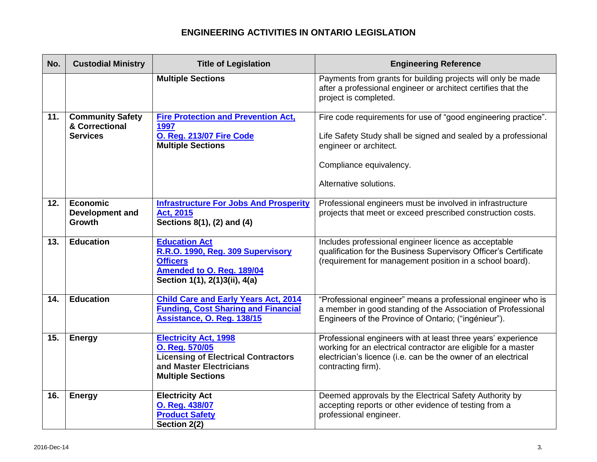| No. | <b>Custodial Ministry</b>                 | <b>Title of Legislation</b>                                                                                                                         | <b>Engineering Reference</b>                                                                                                                                                                                          |
|-----|-------------------------------------------|-----------------------------------------------------------------------------------------------------------------------------------------------------|-----------------------------------------------------------------------------------------------------------------------------------------------------------------------------------------------------------------------|
|     |                                           | <b>Multiple Sections</b>                                                                                                                            | Payments from grants for building projects will only be made<br>after a professional engineer or architect certifies that the<br>project is completed.                                                                |
| 11. | <b>Community Safety</b><br>& Correctional | <b>Fire Protection and Prevention Act,</b><br>1997                                                                                                  | Fire code requirements for use of "good engineering practice".                                                                                                                                                        |
|     | <b>Services</b>                           | O. Reg. 213/07 Fire Code<br><b>Multiple Sections</b>                                                                                                | Life Safety Study shall be signed and sealed by a professional<br>engineer or architect.                                                                                                                              |
|     |                                           |                                                                                                                                                     | Compliance equivalency.                                                                                                                                                                                               |
|     |                                           |                                                                                                                                                     | Alternative solutions.                                                                                                                                                                                                |
| 12. | Economic<br>Development and<br>Growth     | <b>Infrastructure For Jobs And Prosperity</b><br>Act, 2015<br>Sections 8(1), (2) and (4)                                                            | Professional engineers must be involved in infrastructure<br>projects that meet or exceed prescribed construction costs.                                                                                              |
| 13. | <b>Education</b>                          | <b>Education Act</b><br>R.R.O. 1990, Reg. 309 Supervisory<br><b>Officers</b><br>Amended to O. Reg. 189/04<br>Section 1(1), 2(1)3(ii), 4(a)          | Includes professional engineer licence as acceptable<br>qualification for the Business Supervisory Officer's Certificate<br>(requirement for management position in a school board).                                  |
| 14. | <b>Education</b>                          | <b>Child Care and Early Years Act, 2014</b><br><b>Funding, Cost Sharing and Financial</b><br>Assistance, O. Reg. 138/15                             | "Professional engineer" means a professional engineer who is<br>a member in good standing of the Association of Professional<br>Engineers of the Province of Ontario; ("ingénieur").                                  |
| 15. | <b>Energy</b>                             | <b>Electricity Act, 1998</b><br>O. Reg. 570/05<br><b>Licensing of Electrical Contractors</b><br>and Master Electricians<br><b>Multiple Sections</b> | Professional engineers with at least three years' experience<br>working for an electrical contractor are eligible for a master<br>electrician's licence (i.e. can be the owner of an electrical<br>contracting firm). |
| 16. | <b>Energy</b>                             | <b>Electricity Act</b><br>O. Reg. 438/07<br><b>Product Safety</b><br>Section 2(2)                                                                   | Deemed approvals by the Electrical Safety Authority by<br>accepting reports or other evidence of testing from a<br>professional engineer.                                                                             |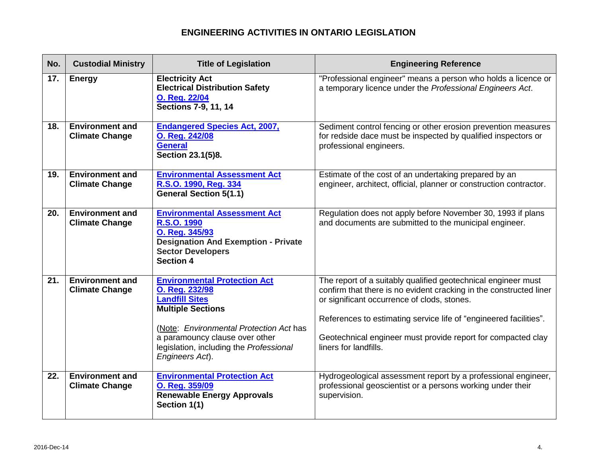| No. | <b>Custodial Ministry</b>                       | <b>Title of Legislation</b>                                                                                                                                                                                                                           | <b>Engineering Reference</b>                                                                                                                                                                                                                                                                                                                     |
|-----|-------------------------------------------------|-------------------------------------------------------------------------------------------------------------------------------------------------------------------------------------------------------------------------------------------------------|--------------------------------------------------------------------------------------------------------------------------------------------------------------------------------------------------------------------------------------------------------------------------------------------------------------------------------------------------|
| 17. | <b>Energy</b>                                   | <b>Electricity Act</b><br><b>Electrical Distribution Safety</b><br>O. Reg. 22/04<br><b>Sections 7-9, 11, 14</b>                                                                                                                                       | "Professional engineer" means a person who holds a licence or<br>a temporary licence under the Professional Engineers Act.                                                                                                                                                                                                                       |
| 18. | <b>Environment and</b><br><b>Climate Change</b> | <b>Endangered Species Act, 2007,</b><br>O. Reg. 242/08<br><b>General</b><br>Section 23.1(5)8.                                                                                                                                                         | Sediment control fencing or other erosion prevention measures<br>for redside dace must be inspected by qualified inspectors or<br>professional engineers.                                                                                                                                                                                        |
| 19. | <b>Environment and</b><br><b>Climate Change</b> | <b>Environmental Assessment Act</b><br>R.S.O. 1990, Reg. 334<br><b>General Section 5(1.1)</b>                                                                                                                                                         | Estimate of the cost of an undertaking prepared by an<br>engineer, architect, official, planner or construction contractor.                                                                                                                                                                                                                      |
| 20. | <b>Environment and</b><br><b>Climate Change</b> | <b>Environmental Assessment Act</b><br>R.S.O. 1990<br>O. Reg. 345/93<br><b>Designation And Exemption - Private</b><br><b>Sector Developers</b><br><b>Section 4</b>                                                                                    | Regulation does not apply before November 30, 1993 if plans<br>and documents are submitted to the municipal engineer.                                                                                                                                                                                                                            |
| 21. | <b>Environment and</b><br><b>Climate Change</b> | <b>Environmental Protection Act</b><br>O. Reg. 232/98<br><b>Landfill Sites</b><br><b>Multiple Sections</b><br>(Note: Environmental Protection Act has<br>a paramouncy clause over other<br>legislation, including the Professional<br>Engineers Act). | The report of a suitably qualified geotechnical engineer must<br>confirm that there is no evident cracking in the constructed liner<br>or significant occurrence of clods, stones.<br>References to estimating service life of "engineered facilities".<br>Geotechnical engineer must provide report for compacted clay<br>liners for landfills. |
| 22. | <b>Environment and</b><br><b>Climate Change</b> | <b>Environmental Protection Act</b><br>O. Reg. 359/09<br><b>Renewable Energy Approvals</b><br>Section 1(1)                                                                                                                                            | Hydrogeological assessment report by a professional engineer,<br>professional geoscientist or a persons working under their<br>supervision.                                                                                                                                                                                                      |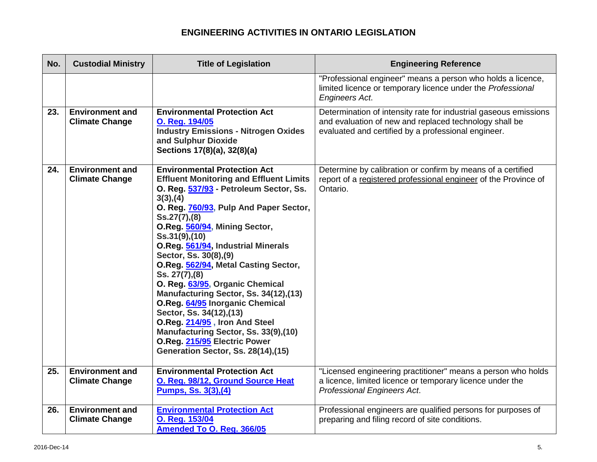| No. | <b>Custodial Ministry</b>                       | <b>Title of Legislation</b>                                                                                                                                                                                                                                                                                                                                                                                                                                                                                                                                                                                                                                                      | <b>Engineering Reference</b>                                                                                                                                                      |
|-----|-------------------------------------------------|----------------------------------------------------------------------------------------------------------------------------------------------------------------------------------------------------------------------------------------------------------------------------------------------------------------------------------------------------------------------------------------------------------------------------------------------------------------------------------------------------------------------------------------------------------------------------------------------------------------------------------------------------------------------------------|-----------------------------------------------------------------------------------------------------------------------------------------------------------------------------------|
|     |                                                 |                                                                                                                                                                                                                                                                                                                                                                                                                                                                                                                                                                                                                                                                                  | "Professional engineer" means a person who holds a licence,<br>limited licence or temporary licence under the Professional<br><b>Engineers Act.</b>                               |
| 23. | <b>Environment and</b><br><b>Climate Change</b> | <b>Environmental Protection Act</b><br>O. Reg. 194/05<br><b>Industry Emissions - Nitrogen Oxides</b><br>and Sulphur Dioxide<br>Sections 17(8)(a), 32(8)(a)                                                                                                                                                                                                                                                                                                                                                                                                                                                                                                                       | Determination of intensity rate for industrial gaseous emissions<br>and evaluation of new and replaced technology shall be<br>evaluated and certified by a professional engineer. |
| 24. | <b>Environment and</b><br><b>Climate Change</b> | <b>Environmental Protection Act</b><br><b>Effluent Monitoring and Effluent Limits</b><br>O. Reg. 537/93 - Petroleum Sector, Ss.<br>3(3), (4)<br>O. Reg. 760/93, Pulp And Paper Sector,<br>$Ss.27(7)$ , (8)<br>O.Reg. 560/94, Mining Sector,<br>Ss.31(9),(10)<br>O.Reg. 561/94, Industrial Minerals<br>Sector, Ss. 30(8), (9)<br>O.Reg. 562/94, Metal Casting Sector,<br>Ss. 27(7),(8)<br>O. Reg. 63/95, Organic Chemical<br>Manufacturing Sector, Ss. 34(12),(13)<br>O.Reg. 64/95 Inorganic Chemical<br>Sector, Ss. 34(12), (13)<br>O.Reg. 214/95, Iron And Steel<br>Manufacturing Sector, Ss. 33(9),(10)<br>O.Reg. 215/95 Electric Power<br>Generation Sector, Ss. 28(14), (15) | Determine by calibration or confirm by means of a certified<br>report of a registered professional engineer of the Province of<br>Ontario.                                        |
| 25. | <b>Environment and</b><br><b>Climate Change</b> | <b>Environmental Protection Act</b><br>O. Reg. 98/12, Ground Source Heat<br><u>Pumps, Ss. 3(3), (4)</u>                                                                                                                                                                                                                                                                                                                                                                                                                                                                                                                                                                          | "Licensed engineering practitioner" means a person who holds<br>a licence, limited licence or temporary licence under the<br>Professional Engineers Act.                          |
| 26. | <b>Environment and</b><br><b>Climate Change</b> | <b>Environmental Protection Act</b><br>O. Reg. 153/04<br>Amended To O. Reg. 366/05                                                                                                                                                                                                                                                                                                                                                                                                                                                                                                                                                                                               | Professional engineers are qualified persons for purposes of<br>preparing and filing record of site conditions.                                                                   |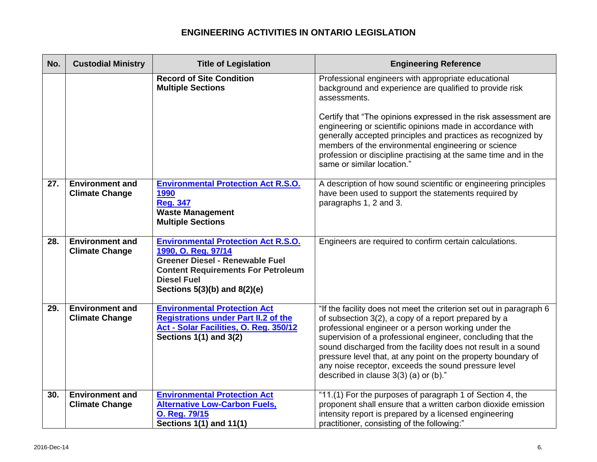| No. | <b>Custodial Ministry</b>                       | <b>Title of Legislation</b>                                                                                                                                                                                        | <b>Engineering Reference</b>                                                                                                                                                                                                                                                                                                                                                                                                                                                         |
|-----|-------------------------------------------------|--------------------------------------------------------------------------------------------------------------------------------------------------------------------------------------------------------------------|--------------------------------------------------------------------------------------------------------------------------------------------------------------------------------------------------------------------------------------------------------------------------------------------------------------------------------------------------------------------------------------------------------------------------------------------------------------------------------------|
|     |                                                 | <b>Record of Site Condition</b><br><b>Multiple Sections</b>                                                                                                                                                        | Professional engineers with appropriate educational<br>background and experience are qualified to provide risk<br>assessments.                                                                                                                                                                                                                                                                                                                                                       |
|     |                                                 |                                                                                                                                                                                                                    | Certify that "The opinions expressed in the risk assessment are<br>engineering or scientific opinions made in accordance with<br>generally accepted principles and practices as recognized by<br>members of the environmental engineering or science<br>profession or discipline practising at the same time and in the<br>same or similar location."                                                                                                                                |
| 27. | <b>Environment and</b><br><b>Climate Change</b> | <b>Environmental Protection Act R.S.O.</b><br>1990<br><b>Reg. 347</b><br><b>Waste Management</b><br><b>Multiple Sections</b>                                                                                       | A description of how sound scientific or engineering principles<br>have been used to support the statements required by<br>paragraphs 1, 2 and 3.                                                                                                                                                                                                                                                                                                                                    |
| 28. | <b>Environment and</b><br><b>Climate Change</b> | <b>Environmental Protection Act R.S.O.</b><br>1990, O. Reg. 97/14<br><b>Greener Diesel - Renewable Fuel</b><br><b>Content Requirements For Petroleum</b><br><b>Diesel Fuel</b><br>Sections $5(3)(b)$ and $8(2)(e)$ | Engineers are required to confirm certain calculations.                                                                                                                                                                                                                                                                                                                                                                                                                              |
| 29. | <b>Environment and</b><br><b>Climate Change</b> | <b>Environmental Protection Act</b><br><b>Registrations under Part II.2 of the</b><br>Act - Solar Facilities, O. Reg. 350/12<br>Sections 1(1) and 3(2)                                                             | "If the facility does not meet the criterion set out in paragraph 6<br>of subsection 3(2), a copy of a report prepared by a<br>professional engineer or a person working under the<br>supervision of a professional engineer, concluding that the<br>sound discharged from the facility does not result in a sound<br>pressure level that, at any point on the property boundary of<br>any noise receptor, exceeds the sound pressure level<br>described in clause 3(3) (a) or (b)." |
| 30. | <b>Environment and</b><br><b>Climate Change</b> | <b>Environmental Protection Act</b><br><b>Alternative Low-Carbon Fuels,</b><br>O. Reg. 79/15<br>Sections 1(1) and 11(1)                                                                                            | "11.(1) For the purposes of paragraph 1 of Section 4, the<br>proponent shall ensure that a written carbon dioxide emission<br>intensity report is prepared by a licensed engineering<br>practitioner, consisting of the following:"                                                                                                                                                                                                                                                  |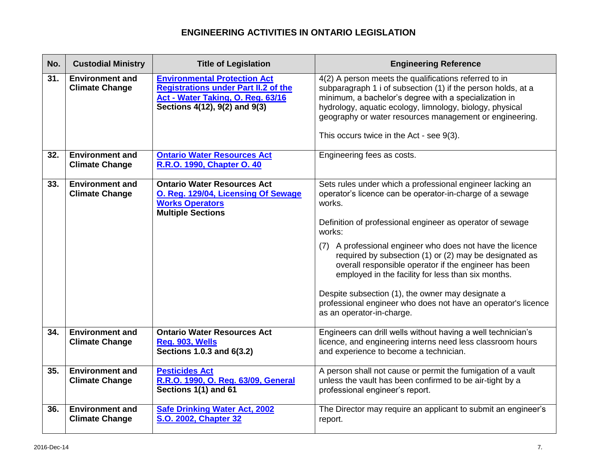| No. | <b>Custodial Ministry</b>                       | <b>Title of Legislation</b>                                                                                                                              | <b>Engineering Reference</b>                                                                                                                                                                                                                                                                                                                                                                                                                                                                                                                                                                    |
|-----|-------------------------------------------------|----------------------------------------------------------------------------------------------------------------------------------------------------------|-------------------------------------------------------------------------------------------------------------------------------------------------------------------------------------------------------------------------------------------------------------------------------------------------------------------------------------------------------------------------------------------------------------------------------------------------------------------------------------------------------------------------------------------------------------------------------------------------|
| 31. | <b>Environment and</b><br><b>Climate Change</b> | <b>Environmental Protection Act</b><br><b>Registrations under Part II.2 of the</b><br>Act - Water Taking, O. Reg. 63/16<br>Sections 4(12), 9(2) and 9(3) | 4(2) A person meets the qualifications referred to in<br>subparagraph 1 i of subsection (1) if the person holds, at a<br>minimum, a bachelor's degree with a specialization in<br>hydrology, aquatic ecology, limnology, biology, physical<br>geography or water resources management or engineering.<br>This occurs twice in the Act - see 9(3).                                                                                                                                                                                                                                               |
| 32. | <b>Environment and</b><br><b>Climate Change</b> | <b>Ontario Water Resources Act</b><br>R.R.O. 1990, Chapter O. 40                                                                                         | Engineering fees as costs.                                                                                                                                                                                                                                                                                                                                                                                                                                                                                                                                                                      |
| 33. | <b>Environment and</b><br><b>Climate Change</b> | <b>Ontario Water Resources Act</b><br>O. Reg. 129/04, Licensing Of Sewage<br><b>Works Operators</b><br><b>Multiple Sections</b>                          | Sets rules under which a professional engineer lacking an<br>operator's licence can be operator-in-charge of a sewage<br>works.<br>Definition of professional engineer as operator of sewage<br>works:<br>(7) A professional engineer who does not have the licence<br>required by subsection (1) or (2) may be designated as<br>overall responsible operator if the engineer has been<br>employed in the facility for less than six months.<br>Despite subsection (1), the owner may designate a<br>professional engineer who does not have an operator's licence<br>as an operator-in-charge. |
| 34. | <b>Environment and</b><br><b>Climate Change</b> | <b>Ontario Water Resources Act</b><br>Reg. 903, Wells<br>Sections 1.0.3 and 6(3.2)                                                                       | Engineers can drill wells without having a well technician's<br>licence, and engineering interns need less classroom hours<br>and experience to become a technician.                                                                                                                                                                                                                                                                                                                                                                                                                            |
| 35. | <b>Environment and</b><br><b>Climate Change</b> | <b>Pesticides Act</b><br>R.R.O. 1990, O. Reg. 63/09, General<br>Sections 1(1) and 61                                                                     | A person shall not cause or permit the fumigation of a vault<br>unless the vault has been confirmed to be air-tight by a<br>professional engineer's report.                                                                                                                                                                                                                                                                                                                                                                                                                                     |
| 36. | <b>Environment and</b><br><b>Climate Change</b> | <b>Safe Drinking Water Act, 2002</b><br><b>S.O. 2002, Chapter 32</b>                                                                                     | The Director may require an applicant to submit an engineer's<br>report.                                                                                                                                                                                                                                                                                                                                                                                                                                                                                                                        |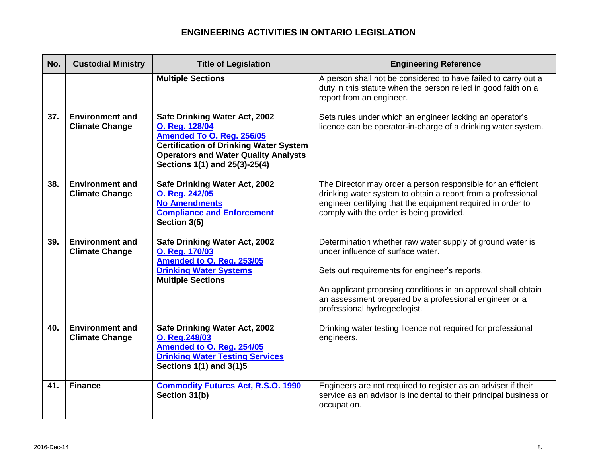| No. | <b>Custodial Ministry</b>                       | <b>Title of Legislation</b>                                                                                                                                                                                   | <b>Engineering Reference</b>                                                                                                                                                                                                                                                                               |
|-----|-------------------------------------------------|---------------------------------------------------------------------------------------------------------------------------------------------------------------------------------------------------------------|------------------------------------------------------------------------------------------------------------------------------------------------------------------------------------------------------------------------------------------------------------------------------------------------------------|
|     |                                                 | <b>Multiple Sections</b>                                                                                                                                                                                      | A person shall not be considered to have failed to carry out a<br>duty in this statute when the person relied in good faith on a<br>report from an engineer.                                                                                                                                               |
| 37. | <b>Environment and</b><br><b>Climate Change</b> | Safe Drinking Water Act, 2002<br>O. Reg. 128/04<br>Amended To O. Reg. 256/05<br><b>Certification of Drinking Water System</b><br><b>Operators and Water Quality Analysts</b><br>Sections 1(1) and 25(3)-25(4) | Sets rules under which an engineer lacking an operator's<br>licence can be operator-in-charge of a drinking water system.                                                                                                                                                                                  |
| 38. | <b>Environment and</b><br><b>Climate Change</b> | Safe Drinking Water Act, 2002<br>O. Reg. 242/05<br><b>No Amendments</b><br><b>Compliance and Enforcement</b><br>Section 3(5)                                                                                  | The Director may order a person responsible for an efficient<br>drinking water system to obtain a report from a professional<br>engineer certifying that the equipment required in order to<br>comply with the order is being provided.                                                                    |
| 39. | <b>Environment and</b><br><b>Climate Change</b> | Safe Drinking Water Act, 2002<br>O. Reg. 170/03<br>Amended to O. Reg. 253/05<br><b>Drinking Water Systems</b><br><b>Multiple Sections</b>                                                                     | Determination whether raw water supply of ground water is<br>under influence of surface water.<br>Sets out requirements for engineer's reports.<br>An applicant proposing conditions in an approval shall obtain<br>an assessment prepared by a professional engineer or a<br>professional hydrogeologist. |
| 40. | <b>Environment and</b><br><b>Climate Change</b> | Safe Drinking Water Act, 2002<br>O. Reg. 248/03<br>Amended to O. Reg. 254/05<br><b>Drinking Water Testing Services</b><br><b>Sections 1(1) and 3(1)5</b>                                                      | Drinking water testing licence not required for professional<br>engineers.                                                                                                                                                                                                                                 |
| 41. | <b>Finance</b>                                  | <b>Commodity Futures Act, R.S.O. 1990</b><br>Section 31(b)                                                                                                                                                    | Engineers are not required to register as an adviser if their<br>service as an advisor is incidental to their principal business or<br>occupation.                                                                                                                                                         |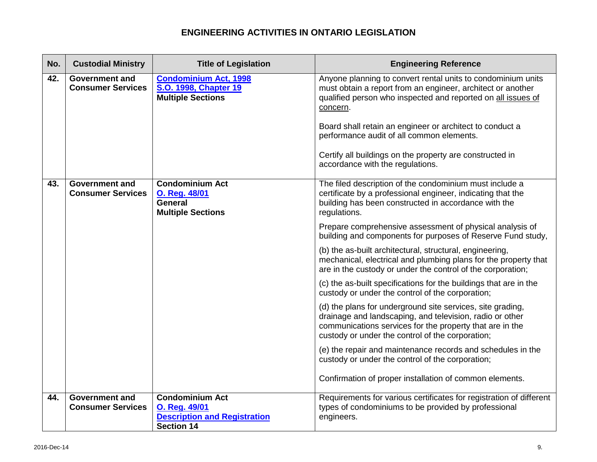| No. | <b>Custodial Ministry</b>                         | <b>Title of Legislation</b>                                                                         | <b>Engineering Reference</b>                                                                                                                                                                                                           |
|-----|---------------------------------------------------|-----------------------------------------------------------------------------------------------------|----------------------------------------------------------------------------------------------------------------------------------------------------------------------------------------------------------------------------------------|
| 42. | <b>Government and</b><br><b>Consumer Services</b> | <b>Condominium Act, 1998</b><br>S.O. 1998, Chapter 19<br><b>Multiple Sections</b>                   | Anyone planning to convert rental units to condominium units<br>must obtain a report from an engineer, architect or another<br>qualified person who inspected and reported on all issues of<br>concern.                                |
|     |                                                   |                                                                                                     | Board shall retain an engineer or architect to conduct a<br>performance audit of all common elements.                                                                                                                                  |
|     |                                                   |                                                                                                     | Certify all buildings on the property are constructed in<br>accordance with the regulations.                                                                                                                                           |
| 43. | <b>Government and</b><br><b>Consumer Services</b> | <b>Condominium Act</b><br><b>O. Reg. 48/01</b><br>General<br><b>Multiple Sections</b>               | The filed description of the condominium must include a<br>certificate by a professional engineer, indicating that the<br>building has been constructed in accordance with the<br>regulations.                                         |
|     |                                                   |                                                                                                     | Prepare comprehensive assessment of physical analysis of<br>building and components for purposes of Reserve Fund study,                                                                                                                |
|     |                                                   |                                                                                                     | (b) the as-built architectural, structural, engineering,<br>mechanical, electrical and plumbing plans for the property that<br>are in the custody or under the control of the corporation;                                             |
|     |                                                   |                                                                                                     | (c) the as-built specifications for the buildings that are in the<br>custody or under the control of the corporation;                                                                                                                  |
|     |                                                   |                                                                                                     | (d) the plans for underground site services, site grading,<br>drainage and landscaping, and television, radio or other<br>communications services for the property that are in the<br>custody or under the control of the corporation; |
|     |                                                   |                                                                                                     | (e) the repair and maintenance records and schedules in the<br>custody or under the control of the corporation;                                                                                                                        |
|     |                                                   |                                                                                                     | Confirmation of proper installation of common elements.                                                                                                                                                                                |
| 44. | <b>Government and</b><br><b>Consumer Services</b> | <b>Condominium Act</b><br>O. Reg. 49/01<br><b>Description and Registration</b><br><b>Section 14</b> | Requirements for various certificates for registration of different<br>types of condominiums to be provided by professional<br>engineers.                                                                                              |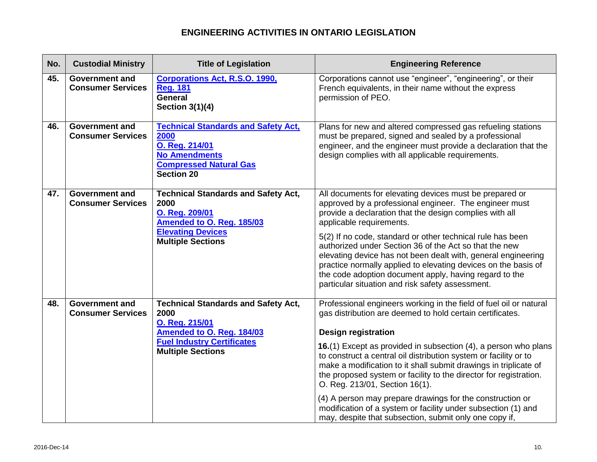| No. | <b>Custodial Ministry</b>                                                                                                                              | <b>Title of Legislation</b>                                                                                                                                                                              | <b>Engineering Reference</b>                                                                                                                                                                                                                                                                                                                                          |
|-----|--------------------------------------------------------------------------------------------------------------------------------------------------------|----------------------------------------------------------------------------------------------------------------------------------------------------------------------------------------------------------|-----------------------------------------------------------------------------------------------------------------------------------------------------------------------------------------------------------------------------------------------------------------------------------------------------------------------------------------------------------------------|
| 45. | <b>Government and</b><br><b>Consumer Services</b>                                                                                                      | <b>Corporations Act, R.S.O. 1990,</b><br><b>Reg. 181</b><br><b>General</b><br>Section 3(1)(4)                                                                                                            | Corporations cannot use "engineer", "engineering", or their<br>French equivalents, in their name without the express<br>permission of PEO.                                                                                                                                                                                                                            |
| 46. | <b>Government and</b><br><b>Consumer Services</b>                                                                                                      | <b>Technical Standards and Safety Act,</b><br>2000<br>O. Reg. 214/01<br><b>No Amendments</b><br><b>Compressed Natural Gas</b><br><b>Section 20</b>                                                       | Plans for new and altered compressed gas refueling stations<br>must be prepared, signed and sealed by a professional<br>engineer, and the engineer must provide a declaration that the<br>design complies with all applicable requirements.                                                                                                                           |
| 47. | <b>Government and</b><br><b>Technical Standards and Safety Act,</b><br><b>Consumer Services</b><br>2000<br>O. Reg. 209/01<br>Amended to O. Reg. 185/03 | All documents for elevating devices must be prepared or<br>approved by a professional engineer. The engineer must<br>provide a declaration that the design complies with all<br>applicable requirements. |                                                                                                                                                                                                                                                                                                                                                                       |
|     |                                                                                                                                                        | <b>Elevating Devices</b><br><b>Multiple Sections</b>                                                                                                                                                     | 5(2) If no code, standard or other technical rule has been<br>authorized under Section 36 of the Act so that the new<br>elevating device has not been dealt with, general engineering<br>practice normally applied to elevating devices on the basis of<br>the code adoption document apply, having regard to the<br>particular situation and risk safety assessment. |
| 48. | <b>Government and</b><br><b>Consumer Services</b>                                                                                                      | <b>Technical Standards and Safety Act,</b><br>2000<br>O. Reg. 215/01                                                                                                                                     | Professional engineers working in the field of fuel oil or natural<br>gas distribution are deemed to hold certain certificates.                                                                                                                                                                                                                                       |
|     |                                                                                                                                                        | Amended to O. Reg. 184/03<br><b>Fuel Industry Certificates</b><br><b>Multiple Sections</b>                                                                                                               | <b>Design registration</b>                                                                                                                                                                                                                                                                                                                                            |
|     |                                                                                                                                                        |                                                                                                                                                                                                          | 16.(1) Except as provided in subsection (4), a person who plans<br>to construct a central oil distribution system or facility or to<br>make a modification to it shall submit drawings in triplicate of<br>the proposed system or facility to the director for registration.<br>O. Reg. 213/01, Section 16(1).                                                        |
|     |                                                                                                                                                        |                                                                                                                                                                                                          | (4) A person may prepare drawings for the construction or<br>modification of a system or facility under subsection (1) and<br>may, despite that subsection, submit only one copy if,                                                                                                                                                                                  |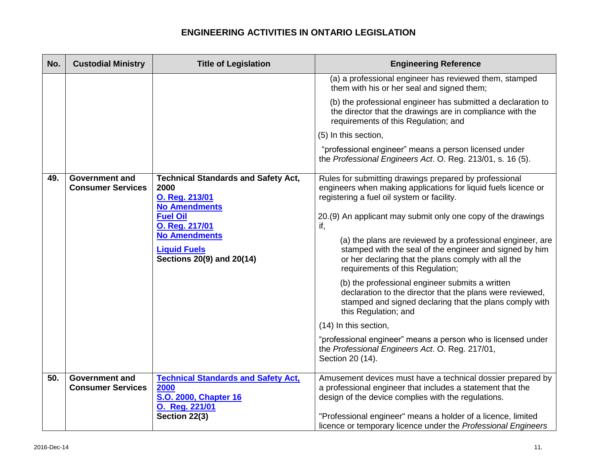| No. | <b>Custodial Ministry</b>                         | <b>Title of Legislation</b>                                                                                     | <b>Engineering Reference</b>                                                                                                                                                                                                           |
|-----|---------------------------------------------------|-----------------------------------------------------------------------------------------------------------------|----------------------------------------------------------------------------------------------------------------------------------------------------------------------------------------------------------------------------------------|
|     |                                                   |                                                                                                                 | (a) a professional engineer has reviewed them, stamped<br>them with his or her seal and signed them;                                                                                                                                   |
|     |                                                   |                                                                                                                 | (b) the professional engineer has submitted a declaration to<br>the director that the drawings are in compliance with the<br>requirements of this Regulation; and                                                                      |
|     |                                                   |                                                                                                                 | (5) In this section,                                                                                                                                                                                                                   |
|     |                                                   |                                                                                                                 | "professional engineer" means a person licensed under<br>the Professional Engineers Act. O. Reg. 213/01, s. 16 (5).                                                                                                                    |
| 49. | <b>Government and</b><br><b>Consumer Services</b> | <b>Technical Standards and Safety Act,</b><br>2000<br>O. Reg. 213/01<br><b>No Amendments</b><br><b>Fuel Oil</b> | Rules for submitting drawings prepared by professional<br>engineers when making applications for liquid fuels licence or<br>registering a fuel oil system or facility.<br>20.(9) An applicant may submit only one copy of the drawings |
|     |                                                   | O. Reg. 217/01<br><b>No Amendments</b><br><b>Liquid Fuels</b><br>Sections 20(9) and 20(14)                      | if,<br>(a) the plans are reviewed by a professional engineer, are<br>stamped with the seal of the engineer and signed by him<br>or her declaring that the plans comply with all the<br>requirements of this Regulation;                |
|     |                                                   |                                                                                                                 | (b) the professional engineer submits a written<br>declaration to the director that the plans were reviewed,<br>stamped and signed declaring that the plans comply with<br>this Regulation; and                                        |
|     |                                                   |                                                                                                                 | (14) In this section,                                                                                                                                                                                                                  |
|     |                                                   |                                                                                                                 | "professional engineer" means a person who is licensed under<br>the Professional Engineers Act. O. Reg. 217/01,<br>Section 20 (14).                                                                                                    |
| 50. | <b>Government and</b><br><b>Consumer Services</b> | <b>Technical Standards and Safety Act,</b><br>2000<br><b>S.O. 2000, Chapter 16</b><br>O. Reg. 221/01            | Amusement devices must have a technical dossier prepared by<br>a professional engineer that includes a statement that the<br>design of the device complies with the regulations.                                                       |
|     |                                                   | Section 22(3)                                                                                                   | "Professional engineer" means a holder of a licence, limited<br>licence or temporary licence under the Professional Engineers                                                                                                          |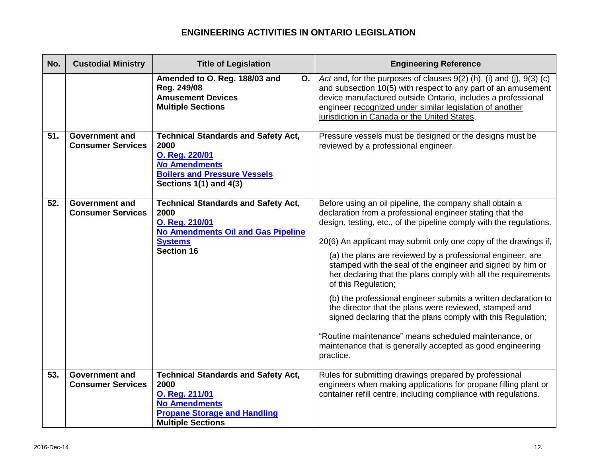| No. | <b>Custodial Ministry</b>                         | <b>Title of Legislation</b>                                                                                                                                     | <b>Engineering Reference</b>                                                                                                                                                                                                                                                                                                                                                                                                                                                                                                                                                                                                                                                                                                                                                                                        |
|-----|---------------------------------------------------|-----------------------------------------------------------------------------------------------------------------------------------------------------------------|---------------------------------------------------------------------------------------------------------------------------------------------------------------------------------------------------------------------------------------------------------------------------------------------------------------------------------------------------------------------------------------------------------------------------------------------------------------------------------------------------------------------------------------------------------------------------------------------------------------------------------------------------------------------------------------------------------------------------------------------------------------------------------------------------------------------|
|     |                                                   | Amended to O. Reg. 188/03 and<br>О.<br>Reg. 249/08<br><b>Amusement Devices</b><br><b>Multiple Sections</b>                                                      | Act and, for the purposes of clauses 9(2) (h), (i) and (j), 9(3) (c)<br>and subsection 10(5) with respect to any part of an amusement<br>device manufactured outside Ontario, includes a professional<br>engineer recognized under similar legislation of another<br>jurisdiction in Canada or the United States.                                                                                                                                                                                                                                                                                                                                                                                                                                                                                                   |
| 51. | <b>Government and</b><br><b>Consumer Services</b> | <b>Technical Standards and Safety Act,</b><br>2000<br>O. Reg. 220/01<br><b>No Amendments</b><br><b>Boilers and Pressure Vessels</b><br>Sections 1(1) and 4(3)   | Pressure vessels must be designed or the designs must be<br>reviewed by a professional engineer.                                                                                                                                                                                                                                                                                                                                                                                                                                                                                                                                                                                                                                                                                                                    |
| 52. | <b>Government and</b><br><b>Consumer Services</b> | <b>Technical Standards and Safety Act,</b><br>2000<br>O. Reg. 210/01<br>No Amendments Oil and Gas Pipeline<br><b>Systems</b><br><b>Section 16</b>               | Before using an oil pipeline, the company shall obtain a<br>declaration from a professional engineer stating that the<br>design, testing, etc., of the pipeline comply with the regulations.<br>20(6) An applicant may submit only one copy of the drawings if,<br>(a) the plans are reviewed by a professional engineer, are<br>stamped with the seal of the engineer and signed by him or<br>her declaring that the plans comply with all the requirements<br>of this Regulation;<br>(b) the professional engineer submits a written declaration to<br>the director that the plans were reviewed, stamped and<br>signed declaring that the plans comply with this Regulation;<br>"Routine maintenance" means scheduled maintenance, or<br>maintenance that is generally accepted as good engineering<br>practice. |
| 53. | <b>Government and</b><br><b>Consumer Services</b> | <b>Technical Standards and Safety Act,</b><br>2000<br>O. Reg. 211/01<br><b>No Amendments</b><br><b>Propane Storage and Handling</b><br><b>Multiple Sections</b> | Rules for submitting drawings prepared by professional<br>engineers when making applications for propane filling plant or<br>container refill centre, including compliance with regulations.                                                                                                                                                                                                                                                                                                                                                                                                                                                                                                                                                                                                                        |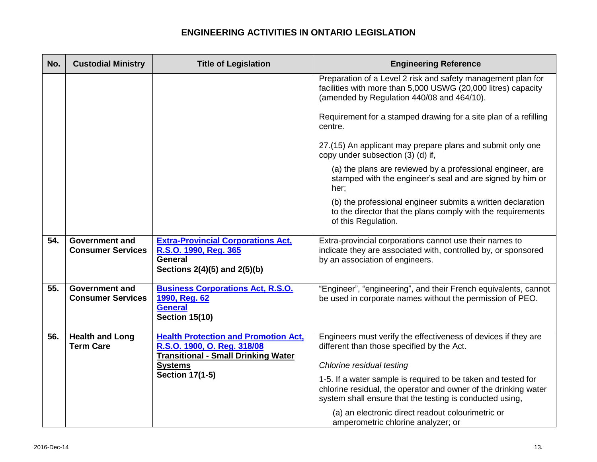| No. | <b>Custodial Ministry</b>                         | <b>Title of Legislation</b>                                                                                              | <b>Engineering Reference</b>                                                                                                                                                                 |
|-----|---------------------------------------------------|--------------------------------------------------------------------------------------------------------------------------|----------------------------------------------------------------------------------------------------------------------------------------------------------------------------------------------|
|     |                                                   |                                                                                                                          | Preparation of a Level 2 risk and safety management plan for<br>facilities with more than 5,000 USWG (20,000 litres) capacity<br>(amended by Regulation 440/08 and 464/10).                  |
|     |                                                   |                                                                                                                          | Requirement for a stamped drawing for a site plan of a refilling<br>centre.                                                                                                                  |
|     |                                                   |                                                                                                                          | 27.(15) An applicant may prepare plans and submit only one<br>copy under subsection (3) (d) if,                                                                                              |
|     |                                                   |                                                                                                                          | (a) the plans are reviewed by a professional engineer, are<br>stamped with the engineer's seal and are signed by him or<br>her;                                                              |
|     |                                                   |                                                                                                                          | (b) the professional engineer submits a written declaration<br>to the director that the plans comply with the requirements<br>of this Regulation.                                            |
| 54. | <b>Government and</b><br><b>Consumer Services</b> | <b>Extra-Provincial Corporations Act,</b><br>R.S.O. 1990, Reg. 365<br>General<br>Sections 2(4)(5) and 2(5)(b)            | Extra-provincial corporations cannot use their names to<br>indicate they are associated with, controlled by, or sponsored<br>by an association of engineers.                                 |
| 55. | <b>Government and</b><br><b>Consumer Services</b> | <b>Business Corporations Act, R.S.O.</b><br>1990, Reg. 62<br><b>General</b><br><b>Section 15(10)</b>                     | "Engineer", "engineering", and their French equivalents, cannot<br>be used in corporate names without the permission of PEO.                                                                 |
| 56. | <b>Health and Long</b><br><b>Term Care</b>        | <b>Health Protection and Promotion Act,</b><br>R.S.O. 1900, O. Reg. 318/08<br><b>Transitional - Small Drinking Water</b> | Engineers must verify the effectiveness of devices if they are<br>different than those specified by the Act.                                                                                 |
|     |                                                   | <b>Systems</b><br><b>Section 17(1-5)</b>                                                                                 | Chlorine residual testing                                                                                                                                                                    |
|     |                                                   |                                                                                                                          | 1-5. If a water sample is required to be taken and tested for<br>chlorine residual, the operator and owner of the drinking water<br>system shall ensure that the testing is conducted using, |
|     |                                                   |                                                                                                                          | (a) an electronic direct readout colourimetric or<br>amperometric chlorine analyzer; or                                                                                                      |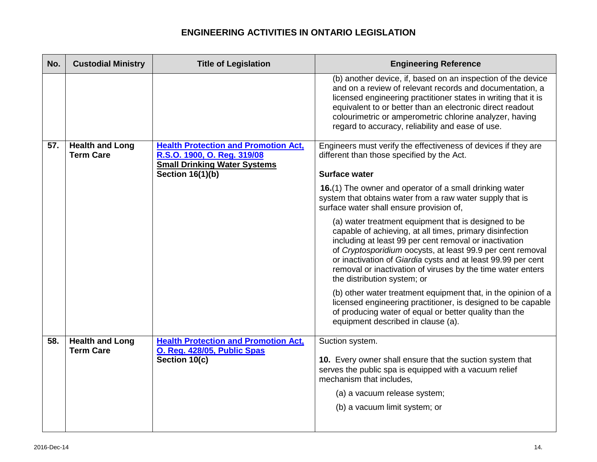| No. | <b>Custodial Ministry</b>                  | <b>Title of Legislation</b>                                                | <b>Engineering Reference</b>                                                                                                                                                                                                                                                                                                                                                                           |
|-----|--------------------------------------------|----------------------------------------------------------------------------|--------------------------------------------------------------------------------------------------------------------------------------------------------------------------------------------------------------------------------------------------------------------------------------------------------------------------------------------------------------------------------------------------------|
|     |                                            |                                                                            | (b) another device, if, based on an inspection of the device<br>and on a review of relevant records and documentation, a<br>licensed engineering practitioner states in writing that it is<br>equivalent to or better than an electronic direct readout<br>colourimetric or amperometric chlorine analyzer, having<br>regard to accuracy, reliability and ease of use.                                 |
| 57. | <b>Health and Long</b><br><b>Term Care</b> | <b>Health Protection and Promotion Act,</b><br>R.S.O. 1900, O. Reg. 319/08 | Engineers must verify the effectiveness of devices if they are<br>different than those specified by the Act.                                                                                                                                                                                                                                                                                           |
|     |                                            | <b>Small Drinking Water Systems</b>                                        |                                                                                                                                                                                                                                                                                                                                                                                                        |
|     |                                            | <b>Section 16(1)(b)</b>                                                    | <b>Surface water</b>                                                                                                                                                                                                                                                                                                                                                                                   |
|     |                                            |                                                                            | 16.(1) The owner and operator of a small drinking water<br>system that obtains water from a raw water supply that is<br>surface water shall ensure provision of,                                                                                                                                                                                                                                       |
|     |                                            |                                                                            | (a) water treatment equipment that is designed to be<br>capable of achieving, at all times, primary disinfection<br>including at least 99 per cent removal or inactivation<br>of Cryptosporidium oocysts, at least 99.9 per cent removal<br>or inactivation of Giardia cysts and at least 99.99 per cent<br>removal or inactivation of viruses by the time water enters<br>the distribution system; or |
|     |                                            |                                                                            | (b) other water treatment equipment that, in the opinion of a<br>licensed engineering practitioner, is designed to be capable<br>of producing water of equal or better quality than the<br>equipment described in clause (a).                                                                                                                                                                          |
| 58. | <b>Health and Long</b><br><b>Term Care</b> | <b>Health Protection and Promotion Act,</b><br>O. Reg. 428/05, Public Spas | Suction system.                                                                                                                                                                                                                                                                                                                                                                                        |
|     |                                            | Section 10(c)                                                              | 10. Every owner shall ensure that the suction system that<br>serves the public spa is equipped with a vacuum relief<br>mechanism that includes,                                                                                                                                                                                                                                                        |
|     |                                            |                                                                            | (a) a vacuum release system;                                                                                                                                                                                                                                                                                                                                                                           |
|     |                                            |                                                                            | (b) a vacuum limit system; or                                                                                                                                                                                                                                                                                                                                                                          |
|     |                                            |                                                                            |                                                                                                                                                                                                                                                                                                                                                                                                        |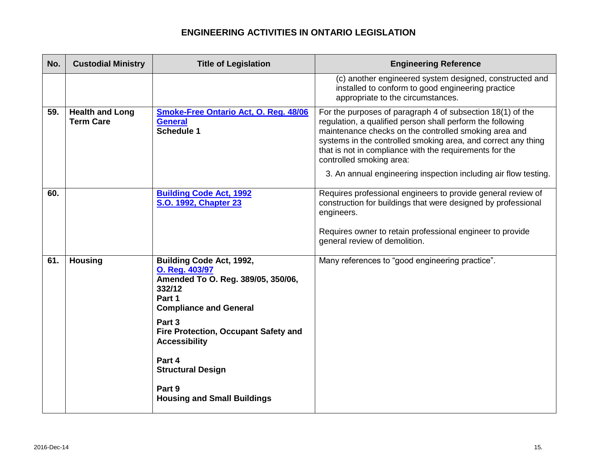| No. | <b>Custodial Ministry</b>                  | <b>Title of Legislation</b>                                                                                                                                                                                                                                                                                  | <b>Engineering Reference</b>                                                                                                                                                                                                                                                                                                                                                                                 |
|-----|--------------------------------------------|--------------------------------------------------------------------------------------------------------------------------------------------------------------------------------------------------------------------------------------------------------------------------------------------------------------|--------------------------------------------------------------------------------------------------------------------------------------------------------------------------------------------------------------------------------------------------------------------------------------------------------------------------------------------------------------------------------------------------------------|
|     |                                            |                                                                                                                                                                                                                                                                                                              | (c) another engineered system designed, constructed and<br>installed to conform to good engineering practice<br>appropriate to the circumstances.                                                                                                                                                                                                                                                            |
| 59. | <b>Health and Long</b><br><b>Term Care</b> | <b>Smoke-Free Ontario Act, O. Reg. 48/06</b><br><b>General</b><br>Schedule 1                                                                                                                                                                                                                                 | For the purposes of paragraph 4 of subsection 18(1) of the<br>regulation, a qualified person shall perform the following<br>maintenance checks on the controlled smoking area and<br>systems in the controlled smoking area, and correct any thing<br>that is not in compliance with the requirements for the<br>controlled smoking area:<br>3. An annual engineering inspection including air flow testing. |
| 60. |                                            | <b>Building Code Act, 1992</b><br>S.O. 1992, Chapter 23                                                                                                                                                                                                                                                      | Requires professional engineers to provide general review of<br>construction for buildings that were designed by professional<br>engineers.<br>Requires owner to retain professional engineer to provide<br>general review of demolition.                                                                                                                                                                    |
| 61. | <b>Housing</b>                             | <b>Building Code Act, 1992,</b><br>O. Reg. 403/97<br>Amended To O. Reg. 389/05, 350/06,<br>332/12<br>Part 1<br><b>Compliance and General</b><br>Part 3<br>Fire Protection, Occupant Safety and<br><b>Accessibility</b><br>Part 4<br><b>Structural Design</b><br>Part 9<br><b>Housing and Small Buildings</b> | Many references to "good engineering practice".                                                                                                                                                                                                                                                                                                                                                              |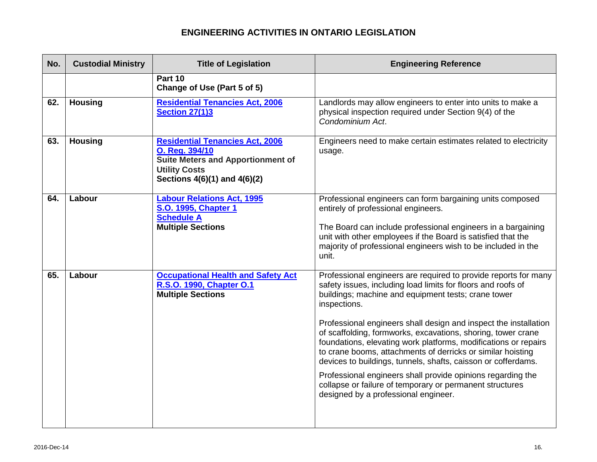| No. | <b>Custodial Ministry</b> | <b>Title of Legislation</b>                                                                                                                                  | <b>Engineering Reference</b>                                                                                                                                                                                                                                                                                                                                                                                                                                                                                                                                                                                                                                                                                     |
|-----|---------------------------|--------------------------------------------------------------------------------------------------------------------------------------------------------------|------------------------------------------------------------------------------------------------------------------------------------------------------------------------------------------------------------------------------------------------------------------------------------------------------------------------------------------------------------------------------------------------------------------------------------------------------------------------------------------------------------------------------------------------------------------------------------------------------------------------------------------------------------------------------------------------------------------|
|     |                           | Part 10<br>Change of Use (Part 5 of 5)                                                                                                                       |                                                                                                                                                                                                                                                                                                                                                                                                                                                                                                                                                                                                                                                                                                                  |
| 62. | <b>Housing</b>            | <b>Residential Tenancies Act, 2006</b><br><b>Section 27(1)3</b>                                                                                              | Landlords may allow engineers to enter into units to make a<br>physical inspection required under Section 9(4) of the<br>Condominium Act.                                                                                                                                                                                                                                                                                                                                                                                                                                                                                                                                                                        |
| 63. | <b>Housing</b>            | <b>Residential Tenancies Act, 2006</b><br>O. Reg. 394/10<br><b>Suite Meters and Apportionment of</b><br><b>Utility Costs</b><br>Sections 4(6)(1) and 4(6)(2) | Engineers need to make certain estimates related to electricity<br>usage.                                                                                                                                                                                                                                                                                                                                                                                                                                                                                                                                                                                                                                        |
| 64. | Labour                    | <b>Labour Relations Act, 1995</b><br>S.O. 1995, Chapter 1<br><b>Schedule A</b><br><b>Multiple Sections</b>                                                   | Professional engineers can form bargaining units composed<br>entirely of professional engineers.<br>The Board can include professional engineers in a bargaining<br>unit with other employees if the Board is satisfied that the<br>majority of professional engineers wish to be included in the<br>unit.                                                                                                                                                                                                                                                                                                                                                                                                       |
| 65. | Labour                    | <b>Occupational Health and Safety Act</b><br>R.S.O. 1990, Chapter O.1<br><b>Multiple Sections</b>                                                            | Professional engineers are required to provide reports for many<br>safety issues, including load limits for floors and roofs of<br>buildings; machine and equipment tests; crane tower<br>inspections.<br>Professional engineers shall design and inspect the installation<br>of scaffolding, formworks, excavations, shoring, tower crane<br>foundations, elevating work platforms, modifications or repairs<br>to crane booms, attachments of derricks or similar hoisting<br>devices to buildings, tunnels, shafts, caisson or cofferdams.<br>Professional engineers shall provide opinions regarding the<br>collapse or failure of temporary or permanent structures<br>designed by a professional engineer. |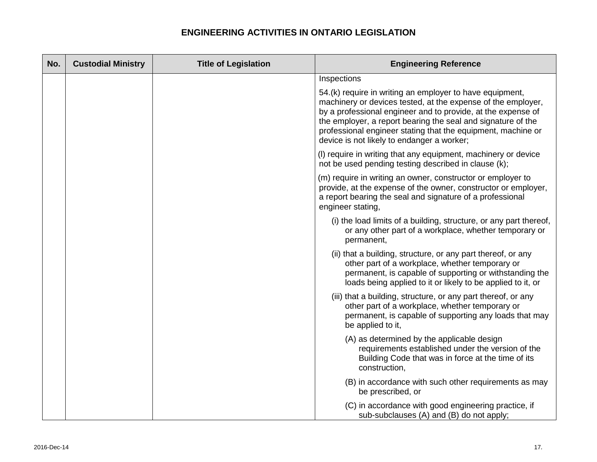| No. | <b>Custodial Ministry</b> | <b>Title of Legislation</b> | <b>Engineering Reference</b>                                                                                                                                                                                                                                                                                                                                           |
|-----|---------------------------|-----------------------------|------------------------------------------------------------------------------------------------------------------------------------------------------------------------------------------------------------------------------------------------------------------------------------------------------------------------------------------------------------------------|
|     |                           |                             | Inspections                                                                                                                                                                                                                                                                                                                                                            |
|     |                           |                             | 54.(k) require in writing an employer to have equipment,<br>machinery or devices tested, at the expense of the employer,<br>by a professional engineer and to provide, at the expense of<br>the employer, a report bearing the seal and signature of the<br>professional engineer stating that the equipment, machine or<br>device is not likely to endanger a worker; |
|     |                           |                             | (I) require in writing that any equipment, machinery or device<br>not be used pending testing described in clause (k);                                                                                                                                                                                                                                                 |
|     |                           |                             | (m) require in writing an owner, constructor or employer to<br>provide, at the expense of the owner, constructor or employer,<br>a report bearing the seal and signature of a professional<br>engineer stating,                                                                                                                                                        |
|     |                           |                             | (i) the load limits of a building, structure, or any part thereof,<br>or any other part of a workplace, whether temporary or<br>permanent,                                                                                                                                                                                                                             |
|     |                           |                             | (ii) that a building, structure, or any part thereof, or any<br>other part of a workplace, whether temporary or<br>permanent, is capable of supporting or withstanding the<br>loads being applied to it or likely to be applied to it, or                                                                                                                              |
|     |                           |                             | (iii) that a building, structure, or any part thereof, or any<br>other part of a workplace, whether temporary or<br>permanent, is capable of supporting any loads that may<br>be applied to it,                                                                                                                                                                        |
|     |                           |                             | (A) as determined by the applicable design<br>requirements established under the version of the<br>Building Code that was in force at the time of its<br>construction,                                                                                                                                                                                                 |
|     |                           |                             | (B) in accordance with such other requirements as may<br>be prescribed, or                                                                                                                                                                                                                                                                                             |
|     |                           |                             | (C) in accordance with good engineering practice, if<br>sub-subclauses (A) and (B) do not apply;                                                                                                                                                                                                                                                                       |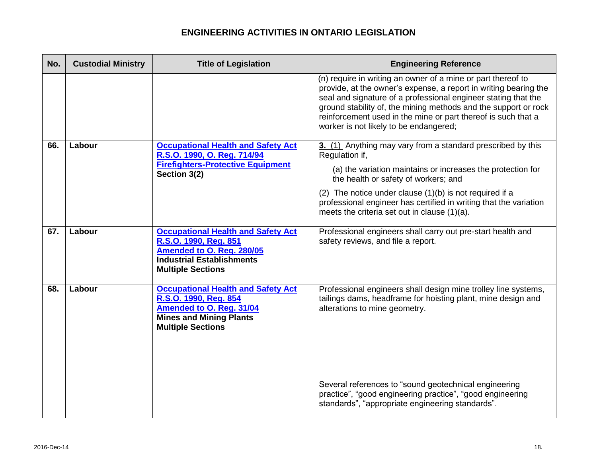| No. | <b>Custodial Ministry</b> | <b>Title of Legislation</b>                                                                                                                                         | <b>Engineering Reference</b>                                                                                                                                                                                                                                                                                                                                                     |
|-----|---------------------------|---------------------------------------------------------------------------------------------------------------------------------------------------------------------|----------------------------------------------------------------------------------------------------------------------------------------------------------------------------------------------------------------------------------------------------------------------------------------------------------------------------------------------------------------------------------|
|     |                           |                                                                                                                                                                     | (n) require in writing an owner of a mine or part thereof to<br>provide, at the owner's expense, a report in writing bearing the<br>seal and signature of a professional engineer stating that the<br>ground stability of, the mining methods and the support or rock<br>reinforcement used in the mine or part thereof is such that a<br>worker is not likely to be endangered; |
| 66. | Labour                    | <b>Occupational Health and Safety Act</b><br>R.S.O. 1990, O. Reg. 714/94<br><b>Firefighters-Protective Equipment</b><br>Section 3(2)                                | 3. (1) Anything may vary from a standard prescribed by this<br>Regulation if,<br>(a) the variation maintains or increases the protection for<br>the health or safety of workers; and<br>$(2)$ The notice under clause $(1)(b)$ is not required if a<br>professional engineer has certified in writing that the variation<br>meets the criteria set out in clause (1)(a).         |
| 67. | Labour                    | <b>Occupational Health and Safety Act</b><br>R.S.O. 1990, Reg. 851<br>Amended to O. Reg. 280/05<br><b>Industrial Establishments</b><br><b>Multiple Sections</b>     | Professional engineers shall carry out pre-start health and<br>safety reviews, and file a report.                                                                                                                                                                                                                                                                                |
| 68. | Labour                    | <b>Occupational Health and Safety Act</b><br>R.S.O. 1990, Reg. 854<br><b>Amended to O. Reg. 31/04</b><br><b>Mines and Mining Plants</b><br><b>Multiple Sections</b> | Professional engineers shall design mine trolley line systems,<br>tailings dams, headframe for hoisting plant, mine design and<br>alterations to mine geometry.                                                                                                                                                                                                                  |
|     |                           |                                                                                                                                                                     | Several references to "sound geotechnical engineering<br>practice", "good engineering practice", "good engineering<br>standards", "appropriate engineering standards".                                                                                                                                                                                                           |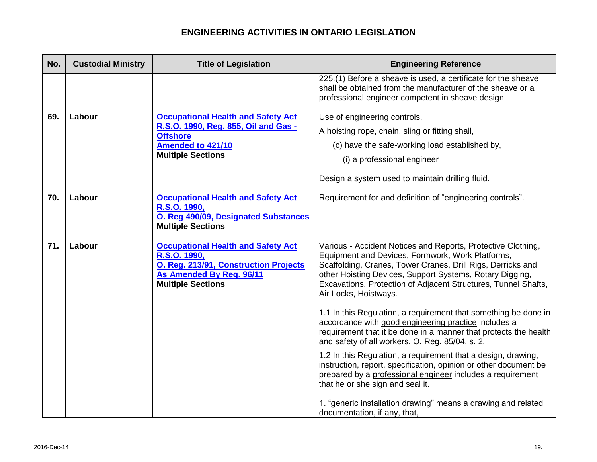| No.             | <b>Custodial Ministry</b> | <b>Title of Legislation</b>                                                                                                                                | <b>Engineering Reference</b>                                                                                                                                                                                                                                                                                                           |
|-----------------|---------------------------|------------------------------------------------------------------------------------------------------------------------------------------------------------|----------------------------------------------------------------------------------------------------------------------------------------------------------------------------------------------------------------------------------------------------------------------------------------------------------------------------------------|
|                 |                           |                                                                                                                                                            | 225.(1) Before a sheave is used, a certificate for the sheave<br>shall be obtained from the manufacturer of the sheave or a<br>professional engineer competent in sheave design                                                                                                                                                        |
| 69.             | Labour                    | <b>Occupational Health and Safety Act</b>                                                                                                                  | Use of engineering controls,                                                                                                                                                                                                                                                                                                           |
|                 |                           | R.S.O. 1990, Reg. 855, Oil and Gas -<br><b>Offshore</b>                                                                                                    | A hoisting rope, chain, sling or fitting shall,                                                                                                                                                                                                                                                                                        |
|                 |                           | Amended to 421/10                                                                                                                                          | (c) have the safe-working load established by,                                                                                                                                                                                                                                                                                         |
|                 |                           | <b>Multiple Sections</b>                                                                                                                                   | (i) a professional engineer                                                                                                                                                                                                                                                                                                            |
|                 |                           |                                                                                                                                                            | Design a system used to maintain drilling fluid.                                                                                                                                                                                                                                                                                       |
| 70.             | Labour                    | <b>Occupational Health and Safety Act</b><br>R.S.O. 1990,<br>O. Reg 490/09, Designated Substances<br><b>Multiple Sections</b>                              | Requirement for and definition of "engineering controls".                                                                                                                                                                                                                                                                              |
| $\overline{71}$ | Labour                    | <b>Occupational Health and Safety Act</b><br>R.S.O. 1990,<br>O. Reg. 213/91, Construction Projects<br>As Amended By Reg. 96/11<br><b>Multiple Sections</b> | Various - Accident Notices and Reports, Protective Clothing,<br>Equipment and Devices, Formwork, Work Platforms,<br>Scaffolding, Cranes, Tower Cranes, Drill Rigs, Derricks and<br>other Hoisting Devices, Support Systems, Rotary Digging,<br>Excavations, Protection of Adjacent Structures, Tunnel Shafts,<br>Air Locks, Hoistways. |
|                 |                           |                                                                                                                                                            | 1.1 In this Regulation, a requirement that something be done in<br>accordance with good engineering practice includes a<br>requirement that it be done in a manner that protects the health<br>and safety of all workers. O. Reg. 85/04, s. 2.                                                                                         |
|                 |                           |                                                                                                                                                            | 1.2 In this Regulation, a requirement that a design, drawing,<br>instruction, report, specification, opinion or other document be<br>prepared by a professional engineer includes a requirement<br>that he or she sign and seal it.                                                                                                    |
|                 |                           |                                                                                                                                                            | 1. "generic installation drawing" means a drawing and related<br>documentation, if any, that,                                                                                                                                                                                                                                          |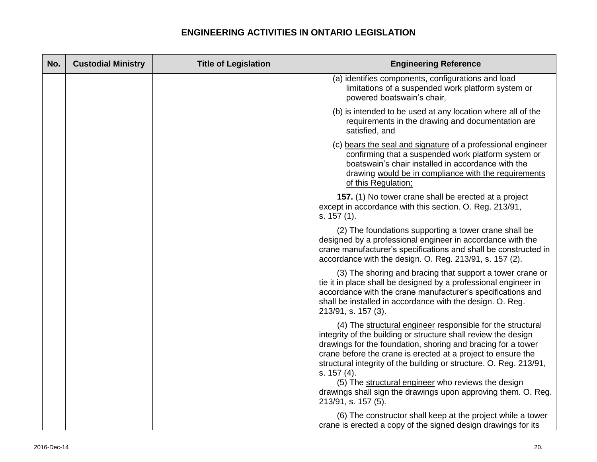| No. | <b>Custodial Ministry</b> | <b>Title of Legislation</b> | <b>Engineering Reference</b>                                                                                                                                                                                                                                                                                                                                                                                                                                                                    |
|-----|---------------------------|-----------------------------|-------------------------------------------------------------------------------------------------------------------------------------------------------------------------------------------------------------------------------------------------------------------------------------------------------------------------------------------------------------------------------------------------------------------------------------------------------------------------------------------------|
|     |                           |                             | (a) identifies components, configurations and load<br>limitations of a suspended work platform system or<br>powered boatswain's chair,                                                                                                                                                                                                                                                                                                                                                          |
|     |                           |                             | (b) is intended to be used at any location where all of the<br>requirements in the drawing and documentation are<br>satisfied, and                                                                                                                                                                                                                                                                                                                                                              |
|     |                           |                             | (c) bears the seal and signature of a professional engineer<br>confirming that a suspended work platform system or<br>boatswain's chair installed in accordance with the<br>drawing would be in compliance with the requirements<br>of this Regulation;                                                                                                                                                                                                                                         |
|     |                           |                             | 157. (1) No tower crane shall be erected at a project<br>except in accordance with this section. O. Reg. 213/91,<br>s. 157 (1).                                                                                                                                                                                                                                                                                                                                                                 |
|     |                           |                             | (2) The foundations supporting a tower crane shall be<br>designed by a professional engineer in accordance with the<br>crane manufacturer's specifications and shall be constructed in<br>accordance with the design. O. Reg. 213/91, s. 157 (2).                                                                                                                                                                                                                                               |
|     |                           |                             | (3) The shoring and bracing that support a tower crane or<br>tie it in place shall be designed by a professional engineer in<br>accordance with the crane manufacturer's specifications and<br>shall be installed in accordance with the design. O. Reg.<br>213/91, s. 157 (3).                                                                                                                                                                                                                 |
|     |                           |                             | (4) The structural engineer responsible for the structural<br>integrity of the building or structure shall review the design<br>drawings for the foundation, shoring and bracing for a tower<br>crane before the crane is erected at a project to ensure the<br>structural integrity of the building or structure. O. Reg. 213/91,<br>s. 157 (4).<br>(5) The structural engineer who reviews the design<br>drawings shall sign the drawings upon approving them. O. Reg.<br>213/91, s. 157 (5). |
|     |                           |                             | (6) The constructor shall keep at the project while a tower<br>crane is erected a copy of the signed design drawings for its                                                                                                                                                                                                                                                                                                                                                                    |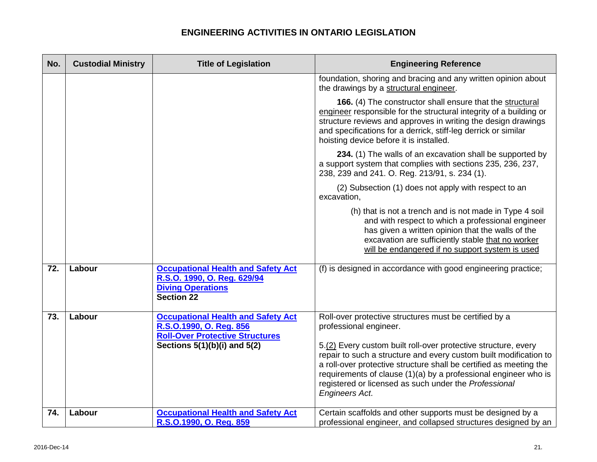| No. | <b>Custodial Ministry</b> | <b>Title of Legislation</b>                                                                                               | <b>Engineering Reference</b>                                                                                                                                                                                                                                                                                                                                   |
|-----|---------------------------|---------------------------------------------------------------------------------------------------------------------------|----------------------------------------------------------------------------------------------------------------------------------------------------------------------------------------------------------------------------------------------------------------------------------------------------------------------------------------------------------------|
|     |                           |                                                                                                                           | foundation, shoring and bracing and any written opinion about<br>the drawings by a structural engineer.                                                                                                                                                                                                                                                        |
|     |                           |                                                                                                                           | 166. (4) The constructor shall ensure that the structural<br>engineer responsible for the structural integrity of a building or<br>structure reviews and approves in writing the design drawings<br>and specifications for a derrick, stiff-leg derrick or similar<br>hoisting device before it is installed.                                                  |
|     |                           |                                                                                                                           | 234. (1) The walls of an excavation shall be supported by<br>a support system that complies with sections 235, 236, 237,<br>238, 239 and 241. O. Reg. 213/91, s. 234 (1).                                                                                                                                                                                      |
|     |                           |                                                                                                                           | (2) Subsection (1) does not apply with respect to an<br>excavation,                                                                                                                                                                                                                                                                                            |
|     |                           |                                                                                                                           | (h) that is not a trench and is not made in Type 4 soil<br>and with respect to which a professional engineer<br>has given a written opinion that the walls of the<br>excavation are sufficiently stable that no worker<br>will be endangered if no support system is used                                                                                      |
| 72. | Labour                    | <b>Occupational Health and Safety Act</b><br>R.S.O. 1990, O. Reg. 629/94<br><b>Diving Operations</b><br><b>Section 22</b> | (f) is designed in accordance with good engineering practice;                                                                                                                                                                                                                                                                                                  |
| 73. | Labour                    | <b>Occupational Health and Safety Act</b><br>R.S.O.1990, O. Reg. 856<br><b>Roll-Over Protective Structures</b>            | Roll-over protective structures must be certified by a<br>professional engineer.                                                                                                                                                                                                                                                                               |
|     |                           | Sections $5(1)(b)(i)$ and $5(2)$                                                                                          | 5.(2) Every custom built roll-over protective structure, every<br>repair to such a structure and every custom built modification to<br>a roll-over protective structure shall be certified as meeting the<br>requirements of clause (1)(a) by a professional engineer who is<br>registered or licensed as such under the Professional<br><b>Engineers Act.</b> |
| 74. | Labour                    | <b>Occupational Health and Safety Act</b><br>R.S.O.1990, O. Reg. 859                                                      | Certain scaffolds and other supports must be designed by a<br>professional engineer, and collapsed structures designed by an                                                                                                                                                                                                                                   |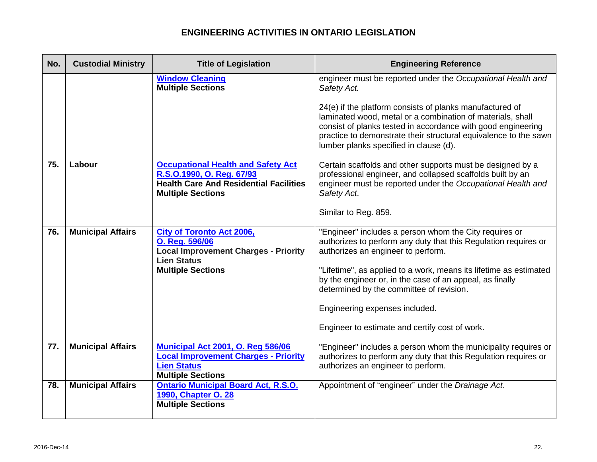| No. | <b>Custodial Ministry</b> | <b>Title of Legislation</b>                                                                                                                         | <b>Engineering Reference</b>                                                                                                                                                                                                                                                                         |
|-----|---------------------------|-----------------------------------------------------------------------------------------------------------------------------------------------------|------------------------------------------------------------------------------------------------------------------------------------------------------------------------------------------------------------------------------------------------------------------------------------------------------|
|     |                           | <b>Window Cleaning</b><br><b>Multiple Sections</b>                                                                                                  | engineer must be reported under the Occupational Health and<br>Safety Act.                                                                                                                                                                                                                           |
|     |                           |                                                                                                                                                     | 24(e) if the platform consists of planks manufactured of<br>laminated wood, metal or a combination of materials, shall<br>consist of planks tested in accordance with good engineering<br>practice to demonstrate their structural equivalence to the sawn<br>lumber planks specified in clause (d). |
| 75. | Labour                    | <b>Occupational Health and Safety Act</b><br>R.S.O.1990, O. Reg. 67/93<br><b>Health Care And Residential Facilities</b><br><b>Multiple Sections</b> | Certain scaffolds and other supports must be designed by a<br>professional engineer, and collapsed scaffolds built by an<br>engineer must be reported under the Occupational Health and<br>Safety Act.                                                                                               |
|     |                           |                                                                                                                                                     | Similar to Reg. 859.                                                                                                                                                                                                                                                                                 |
| 76. | <b>Municipal Affairs</b>  | <b>City of Toronto Act 2006,</b><br>O. Reg. 596/06<br><b>Local Improvement Charges - Priority</b><br><b>Lien Status</b>                             | "Engineer" includes a person whom the City requires or<br>authorizes to perform any duty that this Regulation requires or<br>authorizes an engineer to perform.                                                                                                                                      |
|     |                           | <b>Multiple Sections</b>                                                                                                                            | "Lifetime", as applied to a work, means its lifetime as estimated<br>by the engineer or, in the case of an appeal, as finally<br>determined by the committee of revision.                                                                                                                            |
|     |                           |                                                                                                                                                     | Engineering expenses included.                                                                                                                                                                                                                                                                       |
|     |                           |                                                                                                                                                     | Engineer to estimate and certify cost of work.                                                                                                                                                                                                                                                       |
| 77. | <b>Municipal Affairs</b>  | Municipal Act 2001, O. Reg 586/06<br><b>Local Improvement Charges - Priority</b><br><b>Lien Status</b><br><b>Multiple Sections</b>                  | "Engineer" includes a person whom the municipality requires or<br>authorizes to perform any duty that this Regulation requires or<br>authorizes an engineer to perform.                                                                                                                              |
| 78. | <b>Municipal Affairs</b>  | <b>Ontario Municipal Board Act, R.S.O.</b><br>1990, Chapter O. 28<br><b>Multiple Sections</b>                                                       | Appointment of "engineer" under the Drainage Act.                                                                                                                                                                                                                                                    |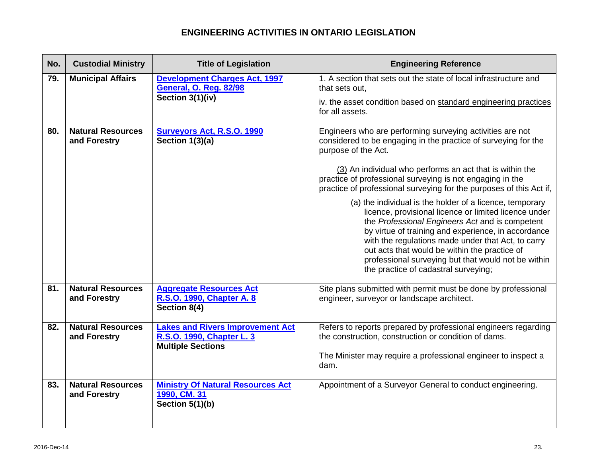| No. | <b>Custodial Ministry</b>                | <b>Title of Legislation</b>                                                                      | <b>Engineering Reference</b>                                                                                                                                                                                                                                                                                                                                                                                                                                                                                                                                                                                                                                                                                                                                                            |
|-----|------------------------------------------|--------------------------------------------------------------------------------------------------|-----------------------------------------------------------------------------------------------------------------------------------------------------------------------------------------------------------------------------------------------------------------------------------------------------------------------------------------------------------------------------------------------------------------------------------------------------------------------------------------------------------------------------------------------------------------------------------------------------------------------------------------------------------------------------------------------------------------------------------------------------------------------------------------|
| 79. | <b>Municipal Affairs</b>                 | <b>Development Charges Act, 1997</b><br><b>General, O. Reg. 82/98</b><br>Section 3(1)(iv)        | 1. A section that sets out the state of local infrastructure and<br>that sets out.<br>iv. the asset condition based on standard engineering practices<br>for all assets.                                                                                                                                                                                                                                                                                                                                                                                                                                                                                                                                                                                                                |
| 80. | <b>Natural Resources</b><br>and Forestry | <b>Surveyors Act, R.S.O. 1990</b><br>Section $1(3)(a)$                                           | Engineers who are performing surveying activities are not<br>considered to be engaging in the practice of surveying for the<br>purpose of the Act.<br>(3) An individual who performs an act that is within the<br>practice of professional surveying is not engaging in the<br>practice of professional surveying for the purposes of this Act if,<br>(a) the individual is the holder of a licence, temporary<br>licence, provisional licence or limited licence under<br>the Professional Engineers Act and is competent<br>by virtue of training and experience, in accordance<br>with the regulations made under that Act, to carry<br>out acts that would be within the practice of<br>professional surveying but that would not be within<br>the practice of cadastral surveying; |
| 81. | <b>Natural Resources</b><br>and Forestry | <b>Aggregate Resources Act</b><br>R.S.O. 1990, Chapter A. 8<br>Section 8(4)                      | Site plans submitted with permit must be done by professional<br>engineer, surveyor or landscape architect.                                                                                                                                                                                                                                                                                                                                                                                                                                                                                                                                                                                                                                                                             |
| 82. | <b>Natural Resources</b><br>and Forestry | <b>Lakes and Rivers Improvement Act</b><br>R.S.O. 1990, Chapter L. 3<br><b>Multiple Sections</b> | Refers to reports prepared by professional engineers regarding<br>the construction, construction or condition of dams.<br>The Minister may require a professional engineer to inspect a<br>dam.                                                                                                                                                                                                                                                                                                                                                                                                                                                                                                                                                                                         |
| 83. | <b>Natural Resources</b><br>and Forestry | <b>Ministry Of Natural Resources Act</b><br>1990, CM. 31<br>Section 5(1)(b)                      | Appointment of a Surveyor General to conduct engineering.                                                                                                                                                                                                                                                                                                                                                                                                                                                                                                                                                                                                                                                                                                                               |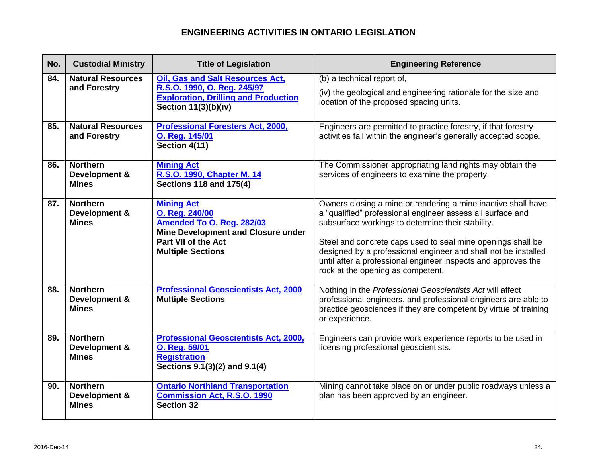| No. | <b>Custodial Ministry</b>                        | <b>Title of Legislation</b>                                                                                                                                             | <b>Engineering Reference</b>                                                                                                                                                                                                                                                                                                                                                                                            |
|-----|--------------------------------------------------|-------------------------------------------------------------------------------------------------------------------------------------------------------------------------|-------------------------------------------------------------------------------------------------------------------------------------------------------------------------------------------------------------------------------------------------------------------------------------------------------------------------------------------------------------------------------------------------------------------------|
| 84. | <b>Natural Resources</b><br>and Forestry         | <b>Oil, Gas and Salt Resources Act,</b><br>R.S.O. 1990, O. Reg. 245/97<br><b>Exploration, Drilling and Production</b><br><b>Section 11(3)(b)(iv)</b>                    | (b) a technical report of,<br>(iv) the geological and engineering rationale for the size and<br>location of the proposed spacing units.                                                                                                                                                                                                                                                                                 |
| 85. | <b>Natural Resources</b><br>and Forestry         | <b>Professional Foresters Act, 2000,</b><br>O. Reg. 145/01<br>Section 4(11)                                                                                             | Engineers are permitted to practice forestry, if that forestry<br>activities fall within the engineer's generally accepted scope.                                                                                                                                                                                                                                                                                       |
| 86. | <b>Northern</b><br>Development &<br><b>Mines</b> | <b>Mining Act</b><br>R.S.O. 1990, Chapter M. 14<br><b>Sections 118 and 175(4)</b>                                                                                       | The Commissioner appropriating land rights may obtain the<br>services of engineers to examine the property.                                                                                                                                                                                                                                                                                                             |
| 87. | <b>Northern</b><br>Development &<br><b>Mines</b> | <b>Mining Act</b><br>O. Reg. 240/00<br>Amended To O. Reg. 282/03<br><b>Mine Development and Closure under</b><br><b>Part VII of the Act</b><br><b>Multiple Sections</b> | Owners closing a mine or rendering a mine inactive shall have<br>a "qualified" professional engineer assess all surface and<br>subsurface workings to determine their stability.<br>Steel and concrete caps used to seal mine openings shall be<br>designed by a professional engineer and shall not be installed<br>until after a professional engineer inspects and approves the<br>rock at the opening as competent. |
| 88. | <b>Northern</b><br>Development &<br><b>Mines</b> | <b>Professional Geoscientists Act, 2000</b><br><b>Multiple Sections</b>                                                                                                 | Nothing in the Professional Geoscientists Act will affect<br>professional engineers, and professional engineers are able to<br>practice geosciences if they are competent by virtue of training<br>or experience.                                                                                                                                                                                                       |
| 89. | <b>Northern</b><br>Development &<br><b>Mines</b> | <b>Professional Geoscientists Act, 2000,</b><br>O. Reg. 59/01<br><b>Registration</b><br>Sections 9.1(3)(2) and 9.1(4)                                                   | Engineers can provide work experience reports to be used in<br>licensing professional geoscientists.                                                                                                                                                                                                                                                                                                                    |
| 90. | <b>Northern</b><br>Development &<br><b>Mines</b> | <b>Ontario Northland Transportation</b><br><b>Commission Act, R.S.O. 1990</b><br>Section 32                                                                             | Mining cannot take place on or under public roadways unless a<br>plan has been approved by an engineer.                                                                                                                                                                                                                                                                                                                 |